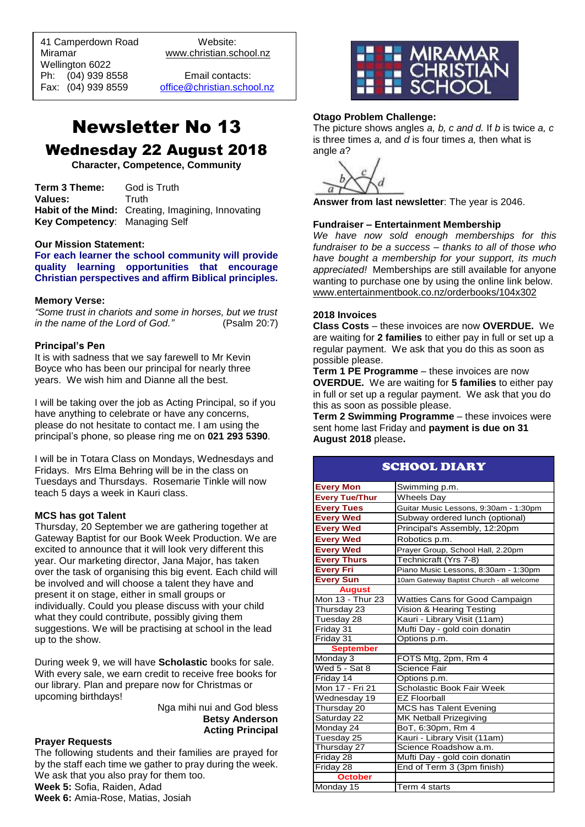41 Camperdown Road Website:<br>Miramar Www.christian.sc Wellington 6022 Ph: (04) 939 8558 Email contacts:

 $\overline{a}$ 

www.christian.school.nz

Fax: (04) 939 8559 [office@christian.school.nz](mailto:office@christian.school.nz)

### Newsletter No 13 Wednesday 22 August 2018

**Character, Competence, Community**

**Term 3 Theme:** God is Truth Values: Truth **Habit of the Mind:** Creating, Imagining, Innovating **Key Competency**: Managing Self

#### **Our Mission Statement:**

**For each learner the school community will provide quality learning opportunities that encourage Christian perspectives and affirm Biblical principles***.*

#### **Memory Verse:**

*"Some trust in chariots and some in horses, but we trust in the name of the Lord of God."* (Psalm 20:7)

#### **Principal's Pen**

It is with sadness that we say farewell to Mr Kevin Boyce who has been our principal for nearly three years. We wish him and Dianne all the best.

I will be taking over the job as Acting Principal, so if you have anything to celebrate or have any concerns, please do not hesitate to contact me. I am using the principal's phone, so please ring me on **021 293 5390**.

I will be in Totara Class on Mondays, Wednesdays and Fridays. Mrs Elma Behring will be in the class on Tuesdays and Thursdays. Rosemarie Tinkle will now teach 5 days a week in Kauri class.

#### **MCS has got Talent**

Thursday, 20 September we are gathering together at Gateway Baptist for our Book Week Production. We are excited to announce that it will look very different this year. Our marketing director, Jana Major, has taken over the task of organising this big event. Each child will be involved and will choose a talent they have and present it on stage, either in small groups or individually. Could you please discuss with your child what they could contribute, possibly giving them suggestions. We will be practising at school in the lead up to the show.

During week 9, we will have **Scholastic** books for sale. With every sale, we earn credit to receive free books for our library. Plan and prepare now for Christmas or upcoming birthdays!

> Nga mihi nui and God bless **Betsy Anderson Acting Principal**

#### **Prayer Requests**

The following students and their families are prayed for by the staff each time we gather to pray during the week. We ask that you also pray for them too. **Week 5:** Sofia, Raiden, Adad **Week 6:** Amia-Rose, Matias, Josiah



#### **Otago Problem Challenge:**

The picture shows angles *a, b, c and d.* If *b* is twice *a, c* is three times *a,* and *d* is four times *a,* then what is angle *a*?

**Answer from last newsletter**: The year is 2046.

#### **Fundraiser – Entertainment Membership**

*We have now sold enough memberships for this fundraiser to be a success – thanks to all of those who have bought a membership for your support, its much appreciated!* Memberships are still available for anyone wanting to purchase one by using the online link below. [www.entertainmentbook.co.nz/orderbooks/104x302](http://www.entertainmentbook.co.nz/orderbooks/104x302)

#### **2018 Invoices**

**Class Costs** – these invoices are now **OVERDUE.** We are waiting for **2 families** to either pay in full or set up a regular payment. We ask that you do this as soon as possible please.

**Term 1 PE Programme** – these invoices are now **OVERDUE.** We are waiting for **5 families** to either pay in full or set up a regular payment. We ask that you do this as soon as possible please.

**Term 2 Swimming Programme** – these invoices were sent home last Friday and **payment is due on 31 August 2018** please**.**

| <b>SCHOOL DIARY</b>   |                                           |
|-----------------------|-------------------------------------------|
| <b>Every Mon</b>      | Swimming p.m.                             |
| <b>Every Tue/Thur</b> | <b>Wheels Day</b>                         |
| <b>Every Tues</b>     | Guitar Music Lessons, 9:30am - 1:30pm     |
| <b>Every Wed</b>      | Subway ordered lunch (optional)           |
| <b>Every Wed</b>      | Principal's Assembly, 12:20pm             |
| <b>Every Wed</b>      | Robotics p.m.                             |
| <b>Every Wed</b>      | Prayer Group, School Hall, 2.20pm         |
| <b>Every Thurs</b>    | Technicraft (Yrs 7-8)                     |
| <b>Every Fri</b>      | Piano Music Lessons, 8:30am - 1:30pm      |
| <b>Every Sun</b>      | 10am Gateway Baptist Church - all welcome |
| <b>August</b>         |                                           |
| Mon 13 - Thur 23      | Watties Cans for Good Campaign            |
| Thursday 23           | Vision & Hearing Testing                  |
| Tuesday 28            | Kauri - Library Visit (11am)              |
| Friday 31             | Mufti Day - gold coin donatin             |
| Friday 31             | Options p.m.                              |
| <b>September</b>      |                                           |
| Monday 3              | FOTS Mtg, 2pm, Rm 4                       |
| Wed 5 - Sat 8         | <b>Science Fair</b>                       |
| Friday 14             | Options p.m.                              |
| Mon 17 - Fri 21       | Scholastic Book Fair Week                 |
| Wednesday 19          | <b>EZ Floorball</b>                       |
| Thursday 20           | MCS has Talent Evening                    |
| Saturday 22           | <b>MK Netball Prizegiving</b>             |
| Monday 24             | BoT, 6:30pm, Rm 4                         |
| Tuesday 25            | Kauri - Library Visit (11am)              |
| Thursday 27           | Science Roadshow a.m.                     |
| Friday 28             | Mufti Day - gold coin donatin             |
| Friday 28             | End of Term 3 (3pm finish)                |
| <b>October</b>        |                                           |
| Monday 15             | Term 4 starts                             |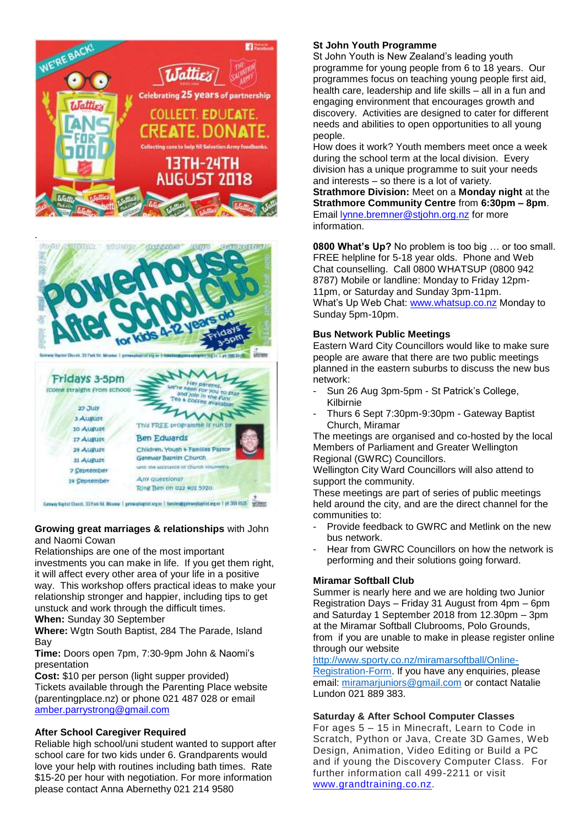





Genery Higher Chash, 23 Park 94, Missour | provinting at 1 series approvinting for the 369 RS25 (2020)

#### **Growing great marriages & relationships** with John and Naomi Cowan

Relationships are one of the most important investments you can make in life. If you get them right, it will affect every other area of your life in a positive way. This workshop offers practical ideas to make your relationship stronger and happier, including tips to get unstuck and work through the difficult times. **When:** Sunday 30 September

**Where:** Wgtn South Baptist, 284 The Parade, Island Bay

**Time:** Doors open 7pm, 7:30-9pm John & Naomi's presentation

**Cost:** \$10 per person (light supper provided) Tickets available through the Parenting Place website (parentingplace.nz) or phone 021 487 028 or email [amber.parrystrong@gmail.com](mailto:amber.parrystrong@gmail.com)

#### **After School Caregiver Required**

Reliable high school/uni student wanted to support after school care for two kids under 6. Grandparents would love your help with routines including bath times. Rate \$15-20 per hour with negotiation. For more information please contact Anna Abernethy 021 214 9580

#### **St John Youth Programme**

St John Youth is New Zealand's leading youth programme for young people from 6 to 18 years. Our programmes focus on teaching young people first aid, health care, leadership and life skills – all in a fun and engaging environment that encourages growth and discovery. Activities are designed to cater for different needs and abilities to open opportunities to all young people.

How does it work? Youth members meet once a week during the school term at the local division. Every division has a unique programme to suit your needs and interests – so there is a lot of variety. **Strathmore Division:** Meet on a **Monday night** at the **Strathmore Community Centre** from **6:30pm – 8pm**. Email [lynne.bremner@stjohn.org.nz](mailto:lynne.bremner@stjohn.org.nz) for more information.

**0800 What's Up?** No problem is too big … or too small. FREE helpline for 5-18 year olds. Phone and Web Chat counselling. Call 0800 WHATSUP (0800 942 8787) Mobile or landline: Monday to Friday 12pm-11pm, or Saturday and Sunday 3pm-11pm. What's Up Web Chat: [www.whatsup.co.nz](http://www.whatsup.co.nz/) Monday to Sunday 5pm-10pm.

#### **Bus Network Public Meetings**

Eastern Ward City Councillors would like to make sure people are aware that there are two public meetings planned in the eastern suburbs to discuss the new bus network:

- Sun 26 Aug 3pm-5pm St Patrick's College, Kilbirnie
- Thurs 6 Sept 7:30pm-9:30pm Gateway Baptist Church, Miramar

The meetings are organised and co-hosted by the local Members of Parliament and Greater Wellington Regional (GWRC) Councillors.

Wellington City Ward Councillors will also attend to support the community.

These meetings are part of series of public meetings held around the city, and are the direct channel for the communities to:

- Provide feedback to GWRC and Metlink on the new bus network.
- Hear from GWRC Councillors on how the network is performing and their solutions going forward.

#### **Miramar Softball Club**

Summer is nearly here and we are holding two Junior Registration Days – Friday 31 August from 4pm – 6pm and Saturday 1 September 2018 from 12.30pm – 3pm at the Miramar Softball Clubrooms, Polo Grounds, from if you are unable to make in please register online through our website

[http://www.sporty.co.nz/miramarsoftball/Online-](http://www.sporty.co.nz/miramarsoftball/Online-Registration-Form)

[Registration-Form.](http://www.sporty.co.nz/miramarsoftball/Online-Registration-Form) If you have any enquiries, please email: [miramarjuniors@gmail.com](mailto:miramarjuniors@gmail.com) or contact Natalie Lundon 021 889 383.

#### **Saturday & After School Computer Classes**

For ages 5 – 15 in Minecraft, Learn to Code in Scratch, Python or Java, Create 3D Games, Web Design, Animation, Video Editing or Build a PC and if young the Discovery Computer Class. For further information call 499-2211 or visit [www.grandtraining.co.nz.](http://www.grandtraining.co.nz/)